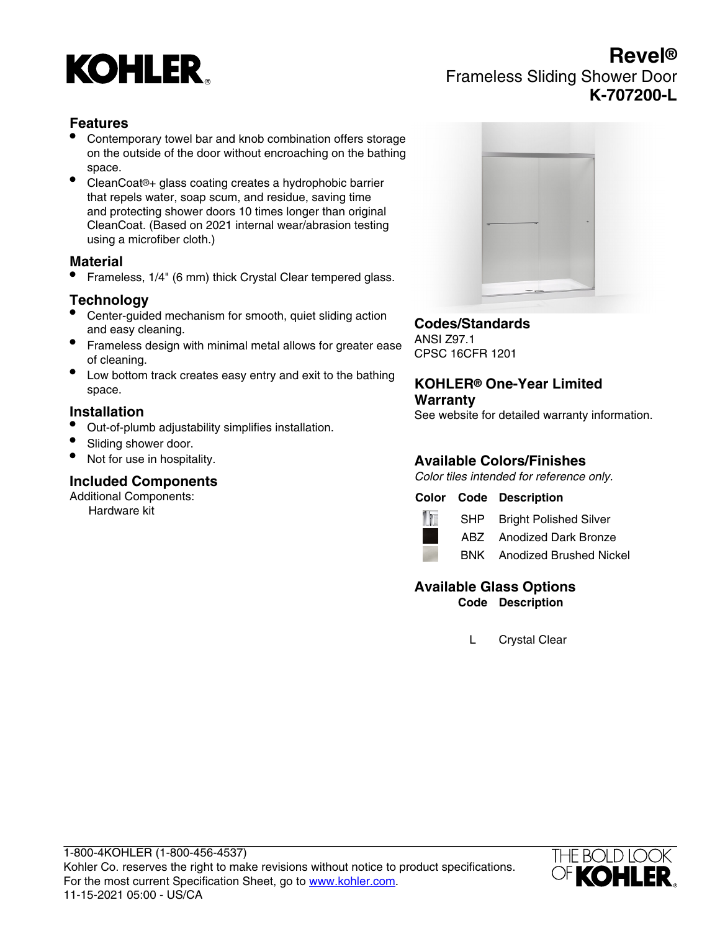

# **Revel®** Frameless Sliding Shower Door **K-707200-L**

## **Features**

- Contemporary towel bar and knob combination offers storage on the outside of the door without encroaching on the bathing space.
- CleanCoat®+ glass coating creates a hydrophobic barrier that repels water, soap scum, and residue, saving time and protecting shower doors 10 times longer than original CleanCoat. (Based on 2021 internal wear/abrasion testing using a microfiber cloth.)

#### **Material**

• Frameless, 1/4" (6 mm) thick Crystal Clear tempered glass.

## **Technology**

- Center-guided mechanism for smooth, quiet sliding action and easy cleaning.
- Frameless design with minimal metal allows for greater ease of cleaning.
- Low bottom track creates easy entry and exit to the bathing space.

#### **Installation**

- Out-of-plumb adjustability simplifies installation.
- Sliding shower door.
- Not for use in hospitality.

#### **Included Components**

Additional Components:

Hardware kit



### **Codes/Standards**

ANSI Z97.1 CPSC 16CFR 1201

#### **KOHLER® One-Year Limited Warranty**

See website for detailed warranty information.

# **Available Colors/Finishes**

Color tiles intended for reference only.

#### **Color Code Description**



SHP Bright Polished Silver

ABZ Anodized Dark Bronze



#### **Available Glass Options Code Description**

L Crystal Clear